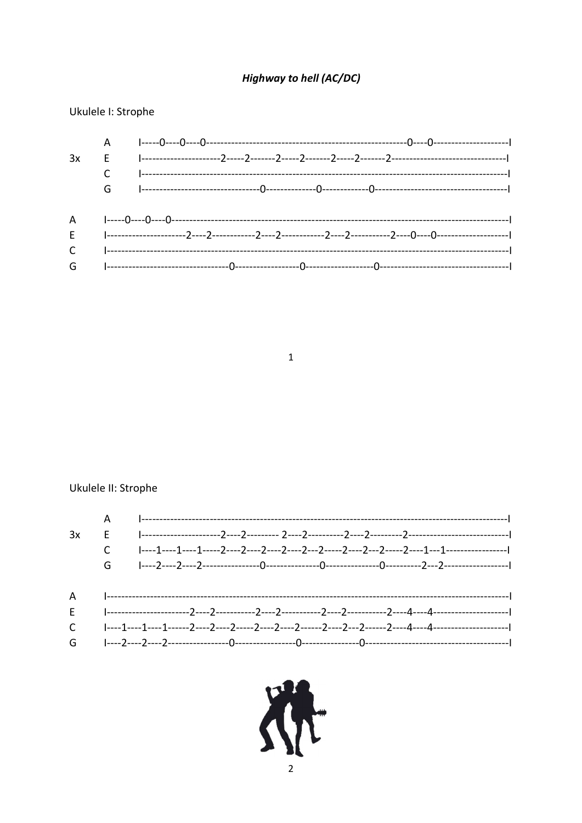### **Highway to hell (AC/DC)**

Ukulele I: Strophe

|  | $E \hskip .8 in \hskip .8 in \hskip .8 in \hskip .8 in \hskip .8 in \hskip .8 in \hskip .8 in \hskip .8 in \hskip .8 in \hskip .8 in \hskip .8 in \hskip .8 in \hskip .8 in \hskip .8 in \hskip .8 in \hskip .8 in \hskip .8 in \hskip .8 in \hskip .8 in \hskip .8 in \hskip .8 in \hskip .8 in \hskip .8 in \hskip .8 in \hskip .8 in \hskip .8 in \hskip .8 in \hskip .8 in \hskip .8 in \hskip .8 in \hskip .8 in \hskip .8 in \hskip .8 in \hskip .8 in \hskip .8 in \hskip .8 in \hskip$ |
|--|------------------------------------------------------------------------------------------------------------------------------------------------------------------------------------------------------------------------------------------------------------------------------------------------------------------------------------------------------------------------------------------------------------------------------------------------------------------------------------------------|
|  |                                                                                                                                                                                                                                                                                                                                                                                                                                                                                                |
|  | ${\mathsf G} \qquad {\mathsf I}\hbox{-}{\mathsf I}\hbox{-}{\mathsf I}\hbox{-}{\mathsf I}\hbox{-}{\mathsf I}\hbox{-}{\mathsf I}\hbox{-}{\mathsf I}\hbox{-}{\mathsf I}\hbox{-}{\mathsf I}\hbox{-}{\mathsf I}\hbox{-}{\mathsf I}\hbox{-}{\mathsf I}\hbox{-}{\mathsf I}\hbox{-}{\mathsf I}\hbox{-}{\mathsf I}\hbox{-}{\mathsf I}\hbox{-}{\mathsf I}\hbox{-}{\mathsf I}\hbox{-}{\mathsf I}\hbox{-}{\mathsf I}\hbox{-}{\mathsf I}\hbox{-}{\mathsf I}\hbox{-}{\mathsf I}\hbox{-}{\mathsf I}\$         |

 $\mathbf{1}$ 

### Ukulele II: Strophe

| 3x |  |
|----|--|
|    |  |
|    |  |
|    |  |
|    |  |
|    |  |
|    |  |
|    |  |

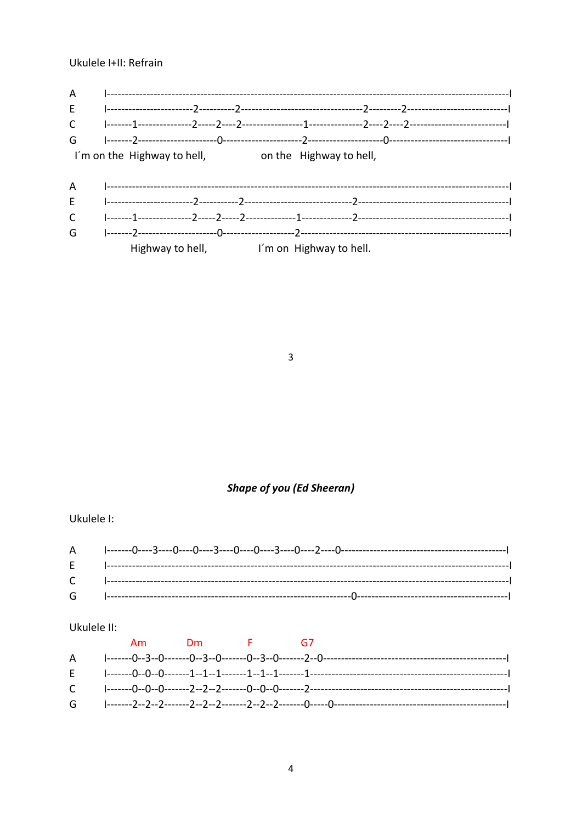Ukulele I+II: Refrain

| A<br>E<br>$\mathsf{C}$<br>G |                                                                                                  |  |  |  |
|-----------------------------|--------------------------------------------------------------------------------------------------|--|--|--|
| A<br>F<br>C<br>G            | I'm on the Highway to hell, and the Highway to hell,<br>Highway to hell, I'm on Highway to hell. |  |  |  |

 $\overline{3}$ 

# **Shape of you (Ed Sheeran)**

Ukulele I:

### Ukulele II:

|  | Am Dm F G7 |  |
|--|------------|--|
|  |            |  |
|  |            |  |
|  |            |  |
|  |            |  |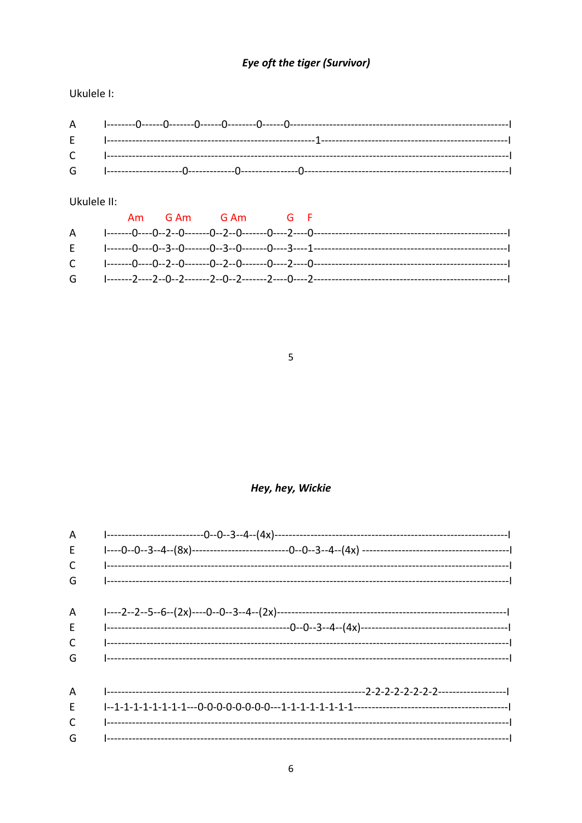# Eye oft the tiger (Survivor)

Ukulele I:

#### Ukulele II:

|  | Am GAm GAm GF |  |  |
|--|---------------|--|--|
|  |               |  |  |
|  |               |  |  |
|  |               |  |  |
|  |               |  |  |

#### $\overline{5}$

### Hey, hey, Wickie

| A  |  |
|----|--|
| E  |  |
| C  |  |
| G  |  |
| A  |  |
| E. |  |
| C  |  |
| G  |  |
| A  |  |
| E  |  |
| C  |  |
| G  |  |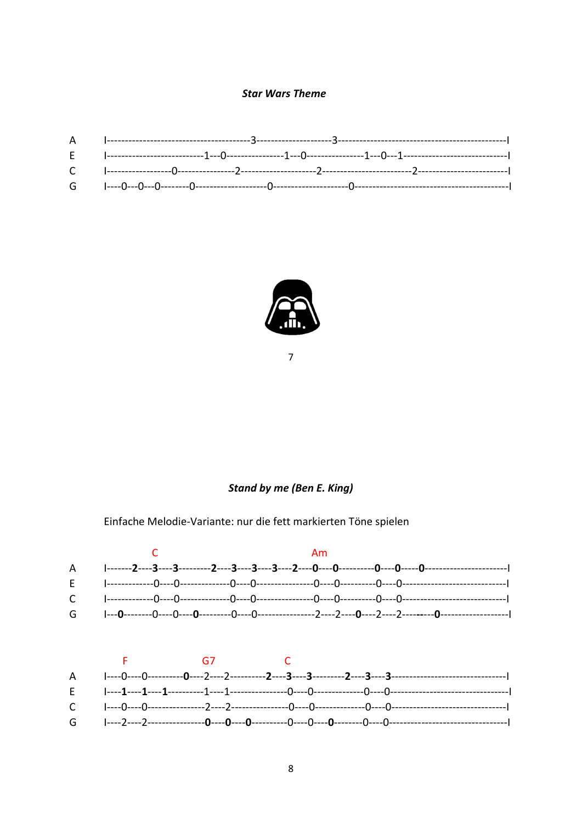#### **Star Wars Theme**



 $\overline{7}$ 

#### **Stand by me (Ben E. King)**

Einfache Melodie-Variante: nur die fett markierten Töne spielen



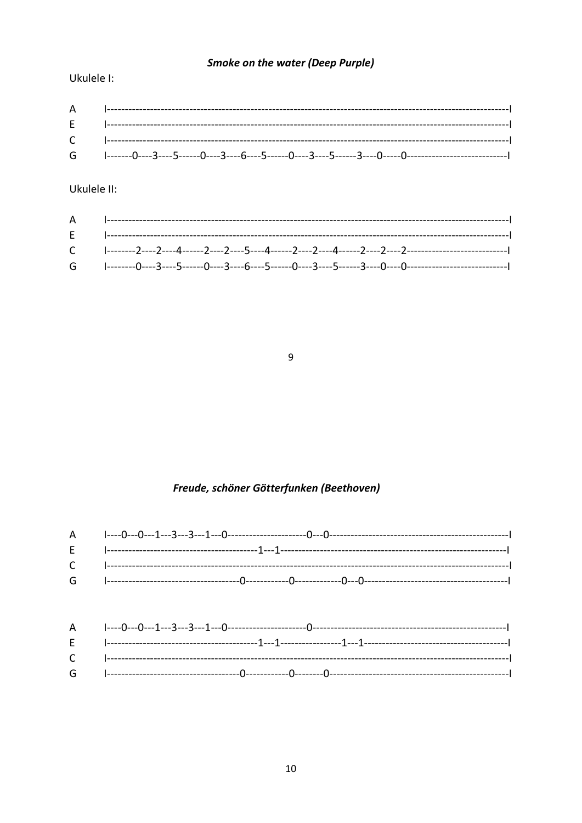### **Smoke on the water (Deep Purple)**

Ukulele I:

Ukulele II:

 $\boldsymbol{9}$ 

### Freude, schöner Götterfunken (Beethoven)

| ${\mathsf G} \qquad {\mathsf I}\hbox{-}{\mathsf I}\hbox{-}{\mathsf I}\hbox{-}{\mathsf I}\hbox{-}{\mathsf I}\hbox{-}{\mathsf I}\hbox{-}{\mathsf I}\hbox{-}{\mathsf I}\hbox{-}{\mathsf I}\hbox{-}{\mathsf I}\hbox{-}{\mathsf I}\hbox{-}{\mathsf I}\hbox{-}{\mathsf I}\hbox{-}{\mathsf I}\hbox{-}{\mathsf I}\hbox{-}{\mathsf I}\hbox{-}{\mathsf I}\hbox{-}{\mathsf I}\hbox{-}{\mathsf I}\hbox{-}{\mathsf I}\hbox{-}{\mathsf I}\hbox{-}{\mathsf I}\hbox{-}{\mathsf I}\hbox{-}{\mathsf I}\$ |
|----------------------------------------------------------------------------------------------------------------------------------------------------------------------------------------------------------------------------------------------------------------------------------------------------------------------------------------------------------------------------------------------------------------------------------------------------------------------------------------|
|                                                                                                                                                                                                                                                                                                                                                                                                                                                                                        |
|                                                                                                                                                                                                                                                                                                                                                                                                                                                                                        |
|                                                                                                                                                                                                                                                                                                                                                                                                                                                                                        |
|                                                                                                                                                                                                                                                                                                                                                                                                                                                                                        |
|                                                                                                                                                                                                                                                                                                                                                                                                                                                                                        |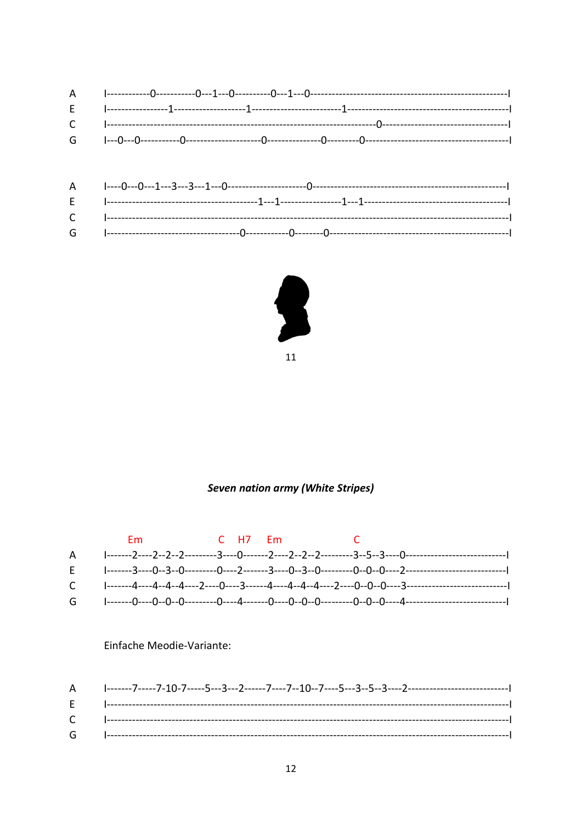

```
11
```
#### **Seven nation army (White Stripes)**



#### Einfache Meodie-Variante:

| <b>F</b> 1------  |  |
|-------------------|--|
|                   |  |
| $G \qquad \qquad$ |  |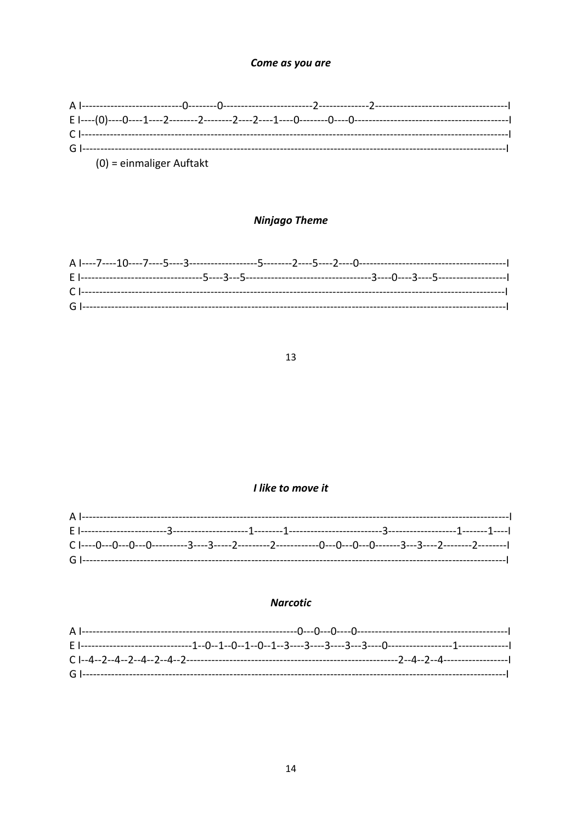#### Come as you are

| $(0)$ = einmaliger Auftakt |  |  |  |
|----------------------------|--|--|--|

### **Ninjago Theme**

#### 13

#### I like to move it

#### **Narcotic**